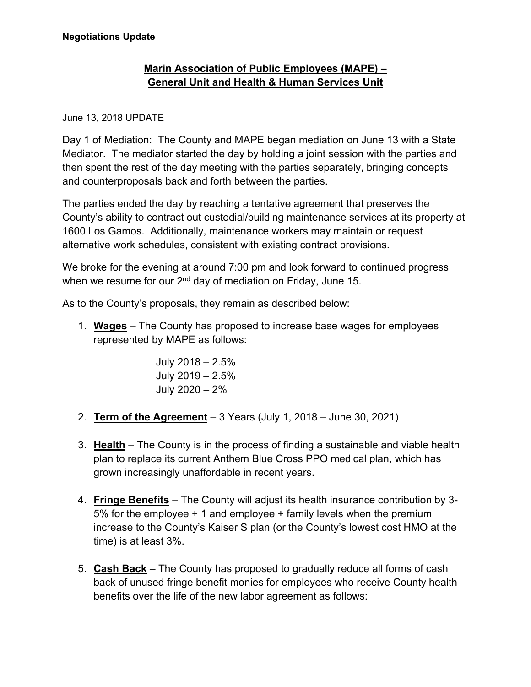## **Marin Association of Public Employees (MAPE) – General Unit and Health & Human Services Unit**

## June 13, 2018 UPDATE

Day 1 of Mediation: The County and MAPE began mediation on June 13 with a State Mediator. The mediator started the day by holding a joint session with the parties and then spent the rest of the day meeting with the parties separately, bringing concepts and counterproposals back and forth between the parties.

The parties ended the day by reaching a tentative agreement that preserves the County's ability to contract out custodial/building maintenance services at its property at 1600 Los Gamos. Additionally, maintenance workers may maintain or request alternative work schedules, consistent with existing contract provisions.

We broke for the evening at around 7:00 pm and look forward to continued progress when we resume for our  $2^{nd}$  day of mediation on Friday, June 15.

As to the County's proposals, they remain as described below:

1. **Wages** – The County has proposed to increase base wages for employees represented by MAPE as follows:

> July 2018 – 2.5% July 2019 – 2.5% July 2020 – 2%

- 2. **Term of the Agreement** 3 Years (July 1, 2018 June 30, 2021)
- 3. **Health** The County is in the process of finding a sustainable and viable health plan to replace its current Anthem Blue Cross PPO medical plan, which has grown increasingly unaffordable in recent years.
- 4. **Fringe Benefits** The County will adjust its health insurance contribution by 3- 5% for the employee + 1 and employee + family levels when the premium increase to the County's Kaiser S plan (or the County's lowest cost HMO at the time) is at least 3%.
- 5. **Cash Back** The County has proposed to gradually reduce all forms of cash back of unused fringe benefit monies for employees who receive County health benefits over the life of the new labor agreement as follows: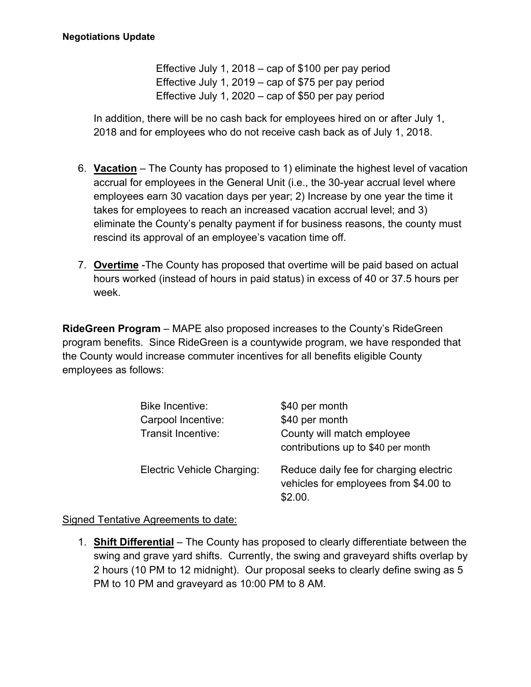Effective July 1, 2018 – cap of \$100 per pay period Effective July 1, 2019 – cap of \$75 per pay period Effective July 1, 2020 – cap of \$50 per pay period

In addition, there will be no cash back for employees hired on or after July 1, 2018 and for employees who do not receive cash back as of July 1, 2018.

- 6. **Vacation** The County has proposed to 1) eliminate the highest level of vacation accrual for employees in the General Unit (i.e., the 30-year accrual level where employees earn 30 vacation days per year; 2) Increase by one year the time it takes for employees to reach an increased vacation accrual level; and 3) eliminate the County's penalty payment if for business reasons, the county must rescind its approval of an employee's vacation time off.
- 7. **Overtime** -The County has proposed that overtime will be paid based on actual hours worked (instead of hours in paid status) in excess of 40 or 37.5 hours per week.

**RideGreen Program** – MAPE also proposed increases to the County's RideGreen program benefits. Since RideGreen is a countywide program, we have responded that the County would increase commuter incentives for all benefits eligible County employees as follows:

| <b>Bike Incentive:</b><br>Carpool Incentive:<br>Transit Incentive: | \$40 per month<br>\$40 per month<br>County will match employee<br>contributions up to \$40 per month |
|--------------------------------------------------------------------|------------------------------------------------------------------------------------------------------|
| Electric Vehicle Charging:                                         | Reduce daily fee for charging electric<br>vehicles for employees from \$4.00 to<br>\$2.00.           |

Signed Tentative Agreements to date:

1. **Shift Differential** – The County has proposed to clearly differentiate between the swing and grave yard shifts. Currently, the swing and graveyard shifts overlap by 2 hours (10 PM to 12 midnight). Our proposal seeks to clearly define swing as 5 PM to 10 PM and graveyard as 10:00 PM to 8 AM.